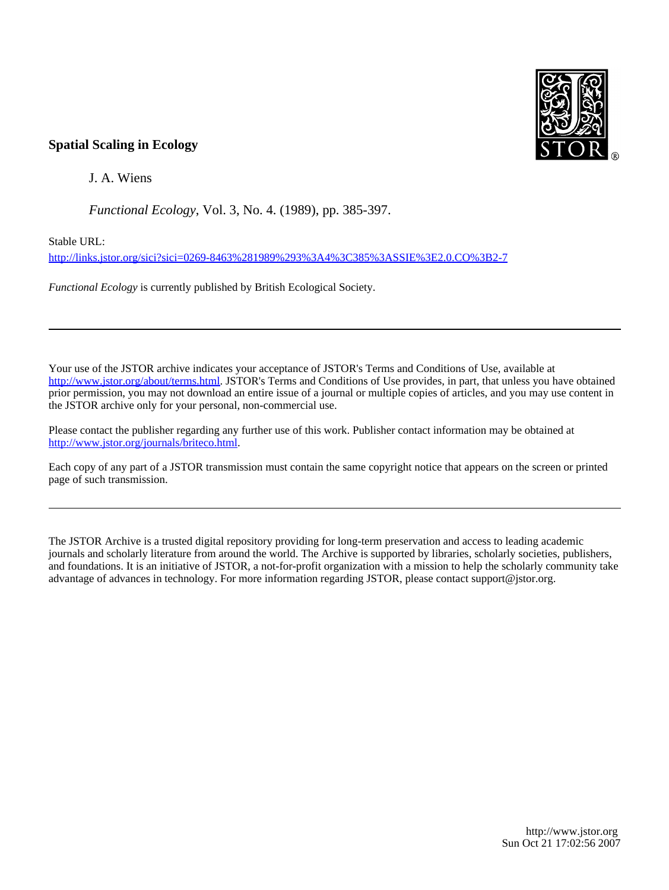

## **Spatial Scaling in Ecology**

J. A. Wiens

*Functional Ecology*, Vol. 3, No. 4. (1989), pp. 385-397.

Stable URL:

<http://links.jstor.org/sici?sici=0269-8463%281989%293%3A4%3C385%3ASSIE%3E2.0.CO%3B2-7>

*Functional Ecology* is currently published by British Ecological Society.

Your use of the JSTOR archive indicates your acceptance of JSTOR's Terms and Conditions of Use, available at [http://www.jstor.org/about/terms.html.](http://www.jstor.org/about/terms.html) JSTOR's Terms and Conditions of Use provides, in part, that unless you have obtained prior permission, you may not download an entire issue of a journal or multiple copies of articles, and you may use content in the JSTOR archive only for your personal, non-commercial use.

Please contact the publisher regarding any further use of this work. Publisher contact information may be obtained at <http://www.jstor.org/journals/briteco.html>.

Each copy of any part of a JSTOR transmission must contain the same copyright notice that appears on the screen or printed page of such transmission.

The JSTOR Archive is a trusted digital repository providing for long-term preservation and access to leading academic journals and scholarly literature from around the world. The Archive is supported by libraries, scholarly societies, publishers, and foundations. It is an initiative of JSTOR, a not-for-profit organization with a mission to help the scholarly community take advantage of advances in technology. For more information regarding JSTOR, please contact support@jstor.org.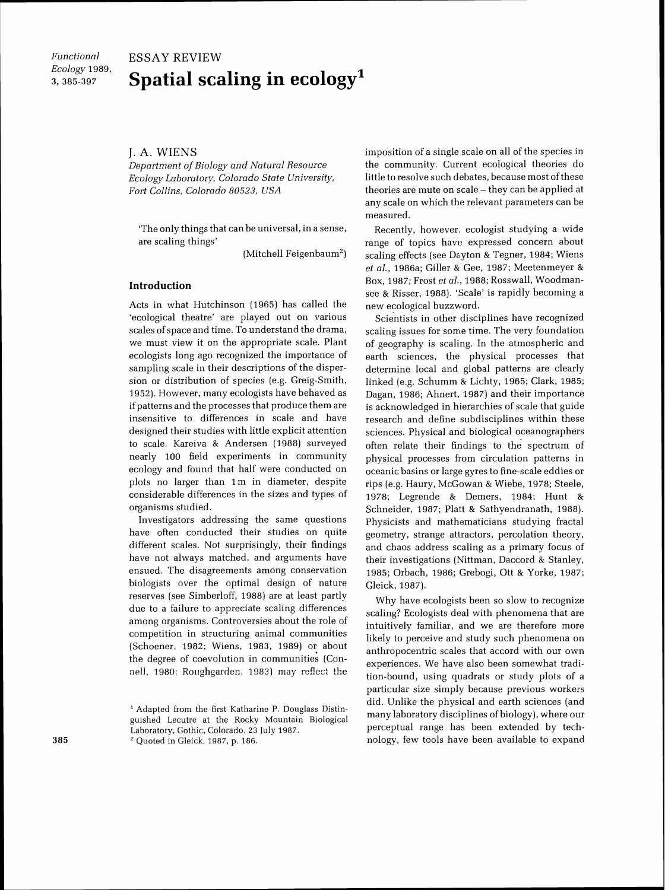# *Functional* ESSAY *REVIEW*  3,385-397 **Spatial scaling in ecology1**

### J. A. WIENS

*Ecology* 1989,

*Department of Biology and Natural Resource Ecology Laboratory, Colorado State University, Fort Collins, Colorado 80523, USA* 

'The only things that can be universal, in a sense, are scaling things'

(Mitchell Feigenbaum2)

### **Introduction**

Acts in what Hutchinson (1965) has called the 'ecological theatre' are played out on various scales of space and time. To understand the drama, we must view it on the appropriate scale. Plant ecologists long ago recognized the importance of sampling scale in their descriptions of the dispersion or distribution of species (e.g. Greig-Smith, 1952). However, many ecologists have behaved as if patterns and the processes that produce them are insensitive to differences in scale and have designed their studies with little explicit attention to scale, Kareiva & Andersen (1988) surveyed nearly 100 field experiments in community ecology and found that half were conducted on plots no larger than 1m in diameter, despite considerable differences in the sizes and types of organisms studied.

Investigators addressing the same questions have often conducted their studies on quite different scales. Not surprisingly, their findings have not always matched, and arguments have ensued. The disagreements among conservation biologists over the optimal design of nature reserves (see Simberloff, 1988) are at least partly due to a failure to appreciate scaling differences among organisms. Controversies about the role of competition in structuring animal communities (Schoener, 1982; Wiens, 1983, 1989) or about the degree of coevolution in communities (Connell, 1980; Roughgarden, 1983) may reflect the

imposition of a single scale on all of the species in the community. Current ecological theories do little to resolve such debates, because most of these theories are mute on scale - they can be applied at any scale on which the relevant parameters can be measured.

Recently, however, ecologist studying a wide range of topics have expressed concern about scaling effects (see Dayton & Tegner, 1984; Wiens *et al.,* 1986a; Giller & Gee, 1987; Meetenmeyer & Box, 1987; Frost *et al.,* 1988; Rosswall, Woodmansee & Risser, 1988). 'Scale' is rapidly becoming a new ecological buzzword.

Scientists in other disciplines have recognized scaling issues for some time. The very foundation of geography is scaling. In the atmospheric and earth sciences, the physical processes that determine local and global patterns are clearly linked (e.g. Schumm & Lichty, 1965; Clark, 1985; Dagan, 1986; Ahnert, 1987) and their importance is acknowledged in hierarchies of scale that guide research and define subdisciplines within these sciences. Physical and biological oceanographers often relate their findings to the spectrum of physical processes from circulation patterns in oceanic basins or large gyres to fine-scale eddies or rips (e.g. Ilaury, McGowan & Wiebe, 1978; Steele, 1978; Legrende & Demers, 1984; Hunt & Schneider, 1987; Platt & Sathyendranath, 1988). Physicists and mathematicians studying fractal geometry, strange attractors, percolation theory, and chaos address scaling as a primary focus of their investigations (Nittman, Daccord & Stanley, 1985; Orbach, 1986; Grebogi, Ott & Yorke, 1987; Gleick, 1987).

Why have ecologists been so slow to recognize scaling? Ecologists deal with phenomena that are intuitively familiar, and we are therefore more likely to perceive and study such phenomena on anthropocentric scales that accord with our own experiences. We have also been somewhat tradition-bound, using quadrats or study plots of a particular size simply because previous workers did. Unlike the physical and earth sciences (and many laboratory disciplines of biology), where our perceptual range has been extended by technology, few tools have been available to expand

385

<sup>&</sup>lt;sup>1</sup> Adapted from the first Katharine P. Douglass Distinguished Lecutre at the Rocky Mountain Biological Laboratory, Gothic, Colorado, 23 July 1987. Quoted in Gleick, 1987, p. 186.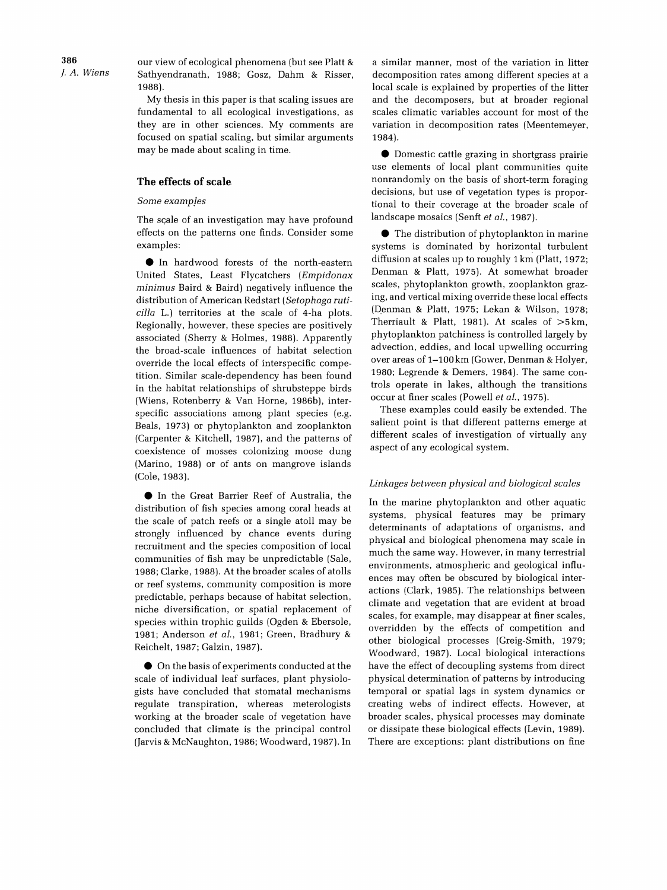**386 our view of ecological phenomena (but see Platt &** *J. A. Wiens* Sathvendranath 1988: Gosz Dahm & Risser Sathyendranath, 1988; Gosz, Dahm & Risser, 1988).

> My thesis in this paper is that scaling issues are fundamental to all ecological investigations, as they are in other sciences. My comments are focused on spatial scaling, but similar arguments may be made about scaling in time.

### **The effects of scale**

#### Some exampies

The scale of an investigation may have profound effects on the patterns one finds. Consider some examples:

In hardwood forests of the north-eastern United States, Least Flycatchers (Empidonax minimus Baird & Baird) negatively influence the distribution of American Redstart (Setophaga ruticilla L.) territories at the scale of 4-ha plots. Regionally, however, these species are positively associated (Sherry & Holmes, 1988). Apparently the broad-scale influences of habitat selection override the local effects of interspecific competition. Similar scale-dependency has been found in the habitat relationships of shrubsteppe birds (Wiens, Rotenberry & Van Horne, 1986b), interspecific associations among plant species (e.g. Beals, 1973) or phytoplankton and zooplankton (Carpenter & Kitchell, 1987), and the patterns of coexistence of mosses colonizing moose dung (Marino, 1988) or of ants on mangrove islands (Cole, 1983).

In the Great Barrier Reef of Australia, the distribution of fish species among coral heads at the scale of patch reefs or a single atoll may be strongly influenced by chance events during recruitment and the species composition of local communities of fish may be unpredictable (Sale, 1988; Clarke, 1988). At the broader scales of atolls or reef systems, community composition is more predictable, perhaps because of habitat selection, niche diversification, or spatial replacement of species within trophic guilds (Ogden & Ebersole, 1981; Anderson et al., 1981; Green, Bradbury & Reichelt, 1987; Galzin, 1987).

 $\bullet$  On the basis of experiments conducted at the scale of individual leaf surfaces, plant physiologists have concluded that stomatal mechanisms regulate transpiration, whereas meterologists working at the broader scale of vegetation have concluded that climate is the principal control (Jarvis& McNaughton, 1986; Woodward, 1987).In a similar manner, most of the variation in litter decomposition rates among different species at a local scale is explained by properties of the litter and the decomposers, but at broader regional scales climatic variables account for most of the variation in decomposition rates (Meentemeyer, 1984).

Domestic cattle grazing in shortgrass prairie use elements of local plant communities quite nonrandomly on the basis of short-term foraging decisions, but use of vegetation types is proportional to their coverage at the broader scale of landscape mosaics (Senft et al., 1987).

The distribution of phytoplankton in marine systems is dominated by horizontal turbulent diffusion at scales up to roughly 1km (Platt, 1972; Denman & Platt, 1975). At somewhat broader scales, phytoplankton growth, zooplankton grazing, and vertical mixing override these local effects (Denman & Platt, 1975; Lekan & Wilson, 1978; Therriault & Platt, 1981). At scales of  $>5 \text{ km}$ , phytoplankton patchiness is controlled largely by advection, eddies, and local upwelling occurring over areas of 1-100 km (Gower, Denman & Holyer, 1980; Legrende & Demers, 1984). The same controls operate in lakes, although the transitions occur at finer scales (Powell et al., 1975).

These examples could easily be extended. The salient point is that different patterns emerge at different scales of investigation of virtually any aspect of any ecological system.

### Linkages between physical and biological scales

In the marine phytoplankton and other aquatic systems, physical features may be primary determinants of adaptations of organisms, and physical and biological phenomena may scale in much the same way. However, in many terrestrial environments, atmospheric and geological influences may often be obscured by biological interactions (Clark, 1985). The relationships between climate and vegetation that are evident at broad scales, for example, may disappear at finer scales, overridden by the effects of competition and other biological processes (Greig-Smith, 1979; Woodward, 1987). Local biological interactions have the effect of decoupling systems from direct physical determination of patterns by introducing temporal or spatial lags in system dynamics or creating webs of indirect effects. However, at broader scales, physical processes may dominate or dissipate these biological effects (Levin, 1989). There are exceptions: plant distributions on fine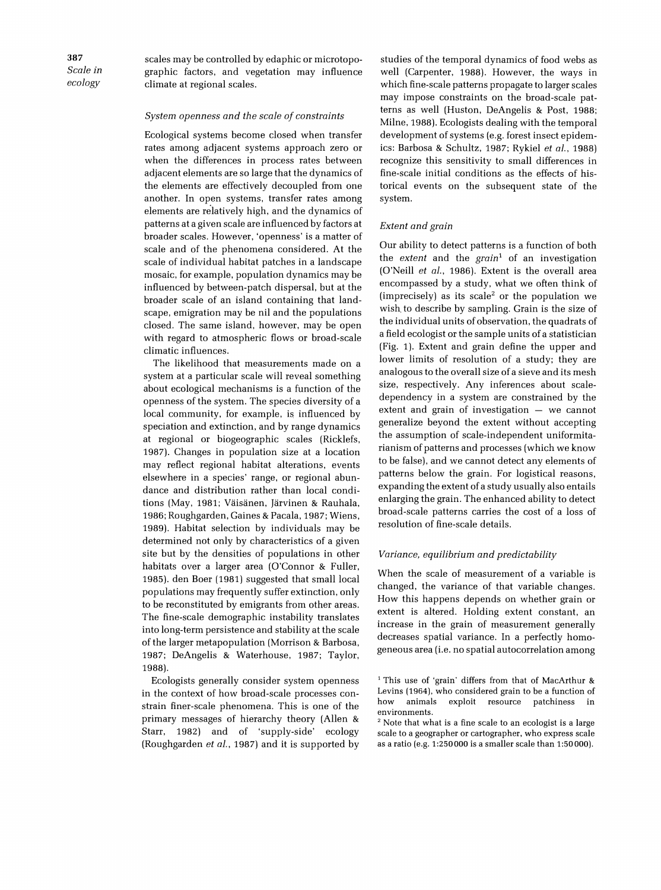**387** scales may be controlled by edaphic or microtopo-*Scale in* **graphic factors, and vegetation may influence** ecology climate at regional scales. climate at regional scales.

### *System openness and the scale of constraints*

Ecological systems become closed when transfer rates among adjacent systems approach zero or when the differences in process rates between adjacent elements are so large that the dynamics of the elements are effectively decoupled from one another. In open systems, transfer rates among elements are relatively high, and the dynamics of patterns at a given scale are influenced by factors at broader scales. However, 'openness' is a matter of scale and of the phenomena considered. At the scale of individual habitat patches in a landscape mosaic, for example, population dynamics may be influenced by between-patch dispersal, but at the broader scale of an island containing that landscape, emigration may be nil and the populations closed. The same island, however, may be open with regard to atmospheric flows or broad-scale climatic influences.

The likelihood that measurements made on a system at a particular scale will reveal something about ecological mechanisms is a function of the openness of the system. The species diversity of a local community, for example, is influenced by speciation and extinction, and by range dynamics at regional or biogeographic scales (Ricklefs, 1987). Changes in population size at a location may reflect regional habitat alterations, events elsewhere in a species' range, or regional abundance and distribution rather than local conditions (May, 1981; Väisänen, Järvinen & Rauhala, 1986; Roughgarden, Gaines & Pacala, 1987; Wiens, 1989). Habitat selection by individuals may be determined not only by characteristics of a given site but by the densities of populations in other habitats over a larger area (O'Connor & Fuller, 1985). den Boer (1981) suggested that small local populations may frequently suffer extinction, only to be reconstituted by emigrants from other areas. The fine-scale demographic instability translates into long-term persistence and stability at the scale of the larger metapopulation (Morrison & Barbosa, 1987; DeAngelis & Waterhouse, 1987; Taylor, 1988).

Ecologists generally consider system openness in the context of how broad-scale processes constrain finer-scale phenomena. This is one of the primary messages of hierarchy theory (Allen & Starr, 1982) and of 'supply-side' ecology (Roughgarden *et al.,* 1987) and it is supported by

studies of the temporal dynamics of food webs as well (Carpenter, 1988). However, the ways in which fine-scale patterns propagate to larger scales may impose constraints on the broad-scale patterns as well (Huston, DeAngelis & Post, 1988; Milne, 1988). Ecologists dealing with the temporal development of systems (e.g. forest insect epidemics: Barbosa & Schultz, 1987; Rykiel *et al.,* 1988) recognize this sensitivity to small differences in fine-scale initial conditions as the effects of historical events on the subsequent state of the system.

#### *Extent and grain*

Our ability to detect patterns is a function of both the *extent* and the *grain'* of an investigation (O'Neill *et al.,* 1986). Extent is the overall area encompassed by a study, what we often think of (imprecisely) as its scale<sup>2</sup> or the population we wish, to describe by sampling. Grain is the size of the individual units of observation, the quadrats of a field ecologist or the sample units of a statistician (Fig. 1). Extent and grain define the upper and lower limits of resolution of a study; they are analogous to the overall size of a sieve and its mesh size, respectively. Any inferences about scaledependency in a system are constrained by the extent and grain of investigation  $-$  we cannot generalize beyond the extent without accepting the assumption of scale-independent uniformitarianism of patterns and processes (which we know to be false), and we cannot detect any elements of patterns below the grain. For logistical reasons, expanding the extent of a study usually also entails enlarging the grain. The enhanced ability to detect broad-scale patterns carries the cost of a loss of resolution of fine-scale details.

#### *Variance, equilibrium and predictability*

When the scale of measurement of a variable is changed, the variance of that variable changes. How this happens depends on whether grain or extent is altered. Holding extent constant, an increase in the grain of measurement generally decreases spatial variance. In a perfectly homogeneous area (i.e. no spatial autocorrelation among

<sup>&</sup>lt;sup>1</sup> This use of 'grain' differs from that of MacArthur & Levins (1964), who considered grain to be a function of how animals exploit resource patchiness in environments.

<sup>&</sup>lt;sup>2</sup> Note that what is a fine scale to an ecologist is a large scale to a geographer or cartographer, who express scale as a ratio (e.g. 1:250000 is a smaller scale than 1:50000).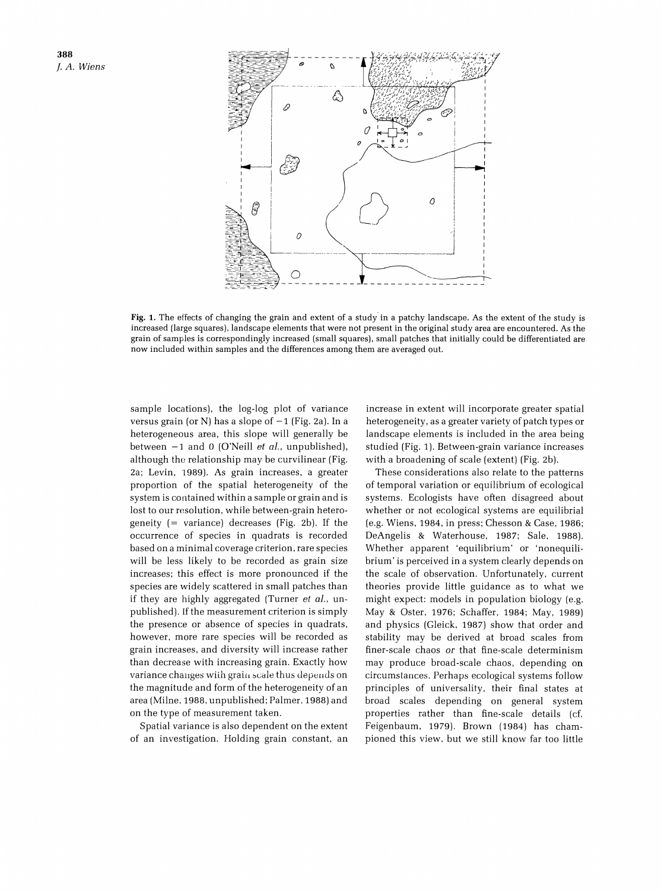

**Fig. 1.** The effects of changing the grain and extent of a study in a patchy landscape. As the extent of the study is increased (large squares), landscape elements that were not present in the original study area are encountered. As the grain of samples is correspondingly increased (small squares), small patches that initially could be differentiated are now included within samples and the differences among them are averaged out.

sample locations), the log-log plot of variance versus grain (or N) has a slope of  $-1$  (Fig. 2a). In a heterogeneous area, this slope will generally be between -1 and 0 (O'Neill *et al.,* unpublished), although the relationship may be curvilinear (Fig. 2a; Levin, 1989). As grain increases, a greater proportion of the spatial heterogeneity of the system is contained within a sample or grain and is lost to our resolution, while between-grain heterogeneity (= variance) decreases (Fig. 2b). If the occurrence of species in quadrats is recorded based on a minimal coverage criterion, rare species will be less likely to be recorded as grain size increases; this effect is more pronounced if the species are widely scattered in small patches than if they are highly aggregated (Turner et *al.,* unpublished), If the measurement criterion is simply the presence or absence of species in quadrats. however, more rare species will be recorded as grain increases, and diversity will increase rather than decrease with increasing grain. Exactly how variance changes with grain scale thus depends on the magnitude and form of the heterogeneity of an area (Milne, 1988, unpublished; Palmer. 1988) and on the type of measurement taken.

Spatial variance is also dependent on the extent of an investigation. Holding grain constant, an increase in extent will incorporate greater spatial heterogeneity, as a greater variety of patch types or landscape elements is included in the area being studied (Fig. 1). Between-grain variance increases with a broadening of scale (extent) (Fig. 2b).

These considerations also relate to the patterns of temporal variation or equilibrium of ecological systems. Ecologists have often disagreed about whether or not ecological systems are equilibria1 (e.g.Wiens, 1984, in press; Chesson & Case, 1986; DeAngelis & Waterhouse, 1987; Sale, 1988). Whether apparent 'equilibrium' or 'nonequilibrium' is perceived in a system clearly depends on the scale of observation. Unfortunately, current theories provide little guidance as to what we might expect: models in population biology (e.g. May & Oster, 1976; Schaffer, 1984; May, 1989) and physics (Gleick, 1987) show that order and stability may be derived at broad scales from finer-scale chaos or that fine-scale determinism may produce broad-scale chaos, depending on circumstances. Perhaps ecological systems follow principles of universality, their final states at broad scales depending on general system properties rather than fine-scale details (cf. Feigenbaum, 1979). Brown (1984) has championed this view, but we still know far too little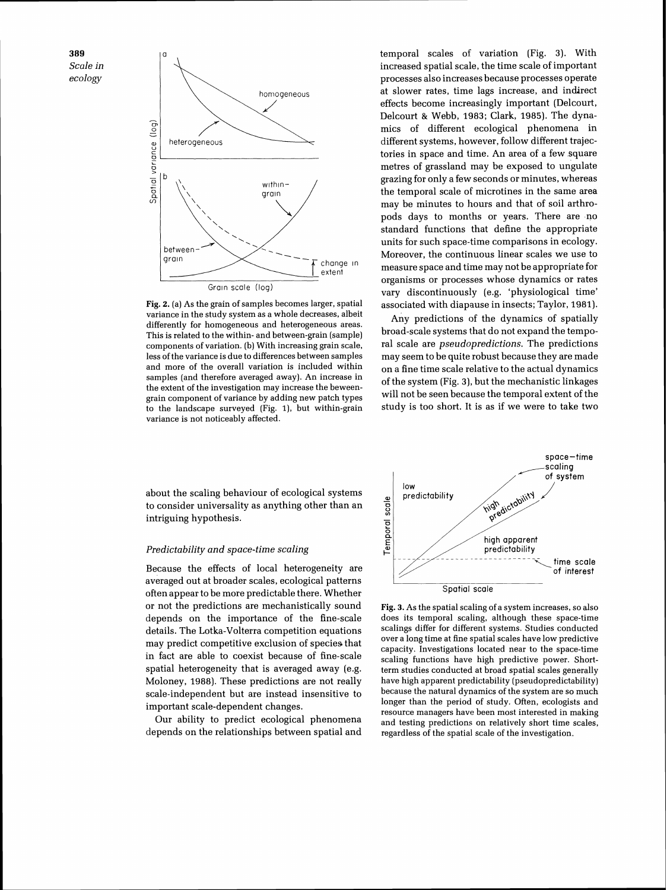*389 Scale in ecology* 



Fig. 2. (a) As the grain of samples becomes larger, spatial variance in the study system as a whole decreases, albeit differently for homogeneous and heterogeneous areas. This is related to the within- and between-grain (sample) components of variation. (b) With increasing grain scale, less of the variance is due to differences between samples and more of the overall variation is included within samples (and therefore averaged away). An increase in the extent of the investigation may increase the beweengrain component of variance by adding new patch types to the landscape surveyed (Fig. I), but within-grain variance is not noticeably affected.

about the scaling behaviour of ecological systems to consider universality as anything other than an intriguing hypothesis.

#### *Predictability and space-time scaling*

Because the effects of local heterogeneity are averaged out at broader scales, ecological patterns often appear to be more predictable there. Whether or not the predictions are mechanistically sound depends on the importance of the fine-scale details. The Lotka-Volterra competition equations may predict competitive exclusion of species that in fact are able to coexist because of fine-scale spatial heterogeneity that is averaged away (e.g. Moloney, 1988). These predictions are not really scale-independent but are instead insensitive to important scale-dependent changes.

Our ability to predict ecological phenomena depends on the relationships between spatial and temporal scales of variation (Fig. **3).** With increased spatial scale, the time scale of important processes also increases because processes operate at slower rates, time lags increase, and indirect effects become increasingly important (Delcourt, Delcourt & Webb, 1983; Clark, 1985). The dynamics of different ecological phenomena in different systems, however, follow different trajectories in space and time. An area of a few square metres of grassland may be exposed to ungulate grazing for only a few seconds or minutes, whereas the temporal scale of microtines in the same area may be minutes to hours and that of soil arthropods days to months or years. There are no standard functions that define the appropriate units for such space-time comparisons in ecology. Moreover, the continuous linear scales we use to measure space and time may not be appropriate for organisms or processes whose dynamics or rates vary discontinuously (e.g. 'physiological time' associated with diapause in insects; Taylor, 1981).

Any predictions of the dynamics of spatially broad-scale systems that do not expand the temporal scale are *pseudopredictions.* The predictions may seem to be quite robust because they are made on a fine time scale relative to the actual dynamics of the system (Fig. 3), but the mechanistic linkages will not be seen because the temporal extent of the study is too short. It is as if we were to take two



**Fig. 3.** As the spatial scaling of a system increases, so also does its temporal scaling, although these space-time scalings differ for different systems. Studies conducted over a long time at fine spatial scales have low predictive capacity. Investigations located near to the space-time scaling functions have high predictive power. Shortterm studies conducted at broad spatial scales generally have high apparent predictability (pseudopredictability) because the natural dynamics of the system are so much longer than the period of study. Often, ecologists and resource managers have been most interested in making and testing predictions on relatively short time scales, regardless of the spatial scale of the investigation.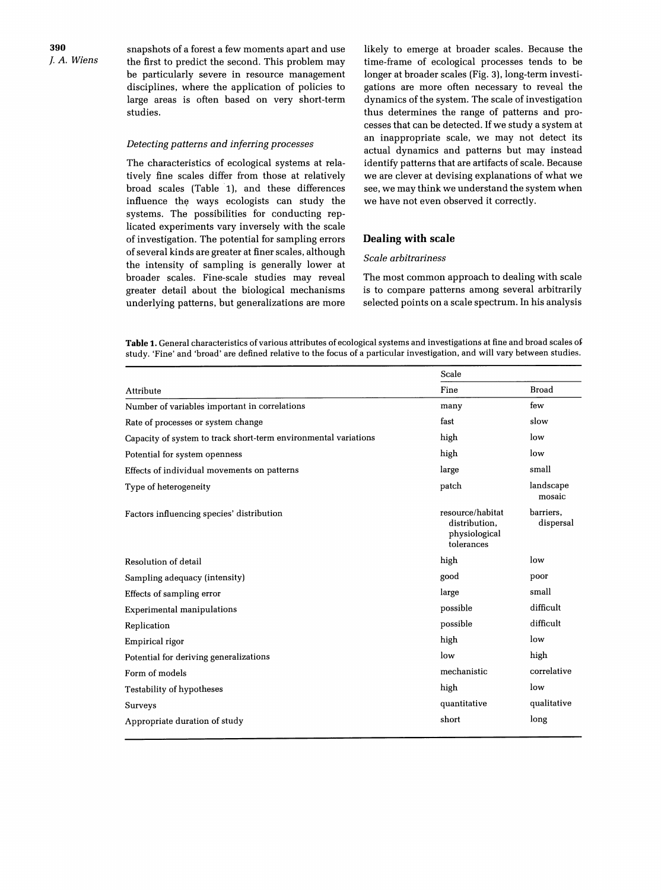390 snapshots of a forest a few moments apart and use likely to emerge at broader scales. Because the *J. A. Wiens* the first to predict the second. This problem may time-frame of ecological processes tends to be *I. A. Wiens* the first to predict the second. This problem may time-frame of ecological processes tends to be be particularly severe in resource management longer at broader scales (Fig. **3),** long-term investidisciplines, where the application of policies to gations are more often necessary to reveal the large areas is often based on very short-term dynamics of the system. The scale of investigation studies. thus determines the range of patterns and pro-

tively fine scales differ from those at relatively we are clever at devising explanations of what we broad scales (Table 1), and these differences see, we may think we understand the system when influence the ways ecologists can study the we have not even observed it correctly. systems. The possibilities for conducting replicated experiments vary inversely with the scale of investigation. The potential for sampling errors **Dealing with scale**  of several kinds are greater at finer scales, although *Scale arbitrariness* the intensity of sampling is generally lower at greater detail about the biological mechanisms is to compare patterns among several arbitrarily<br>underlying patterns, but generalizations are more selected points on a scale spectrum. In his analysis underlying patterns, but generalizations are more

dynamics of the system. The scale of investigation cesses that can be detected. If we study a system at an inappropriate scale, we may not detect its *Detecting patterns and inferring processes* actual dynamics and patterns but may instead The characteristics of ecological systems at rela- identify patterns that are artifacts of scale. Because

The most common approach to dealing with scale

**Table** 1.General characteristics of various attributes of ecological systems and investigations at fine and broad scales of study. 'Fine' and 'broad' are defined relative to the focus of a particular investigation, and will vary between studies.

| Attribute                                                       | Scale                                                            |                        |
|-----------------------------------------------------------------|------------------------------------------------------------------|------------------------|
|                                                                 | Fine                                                             | <b>Broad</b>           |
| Number of variables important in correlations                   | many                                                             | few                    |
| Rate of processes or system change                              | fast                                                             | slow                   |
| Capacity of system to track short-term environmental variations | high                                                             | low                    |
| Potential for system openness                                   | high                                                             | low                    |
| Effects of individual movements on patterns                     | large                                                            | small                  |
| Type of heterogeneity                                           | patch                                                            | landscape<br>mosaic    |
| Factors influencing species' distribution                       | resource/habitat<br>distribution,<br>physiological<br>tolerances | barriers.<br>dispersal |
| Resolution of detail                                            | high                                                             | low                    |
| Sampling adequacy (intensity)                                   | good                                                             | poor                   |
| Effects of sampling error                                       | large                                                            | small                  |
| Experimental manipulations                                      | possible                                                         | difficult              |
| Replication                                                     | possible                                                         | difficult              |
| Empirical rigor                                                 | high                                                             | low                    |
| Potential for deriving generalizations                          | low                                                              | high                   |
| Form of models                                                  | mechanistic                                                      | correlative            |
| Testability of hypotheses                                       | high                                                             | low                    |
| Surveys                                                         | quantitative                                                     | qualitative            |
| Appropriate duration of study                                   | short                                                            | long                   |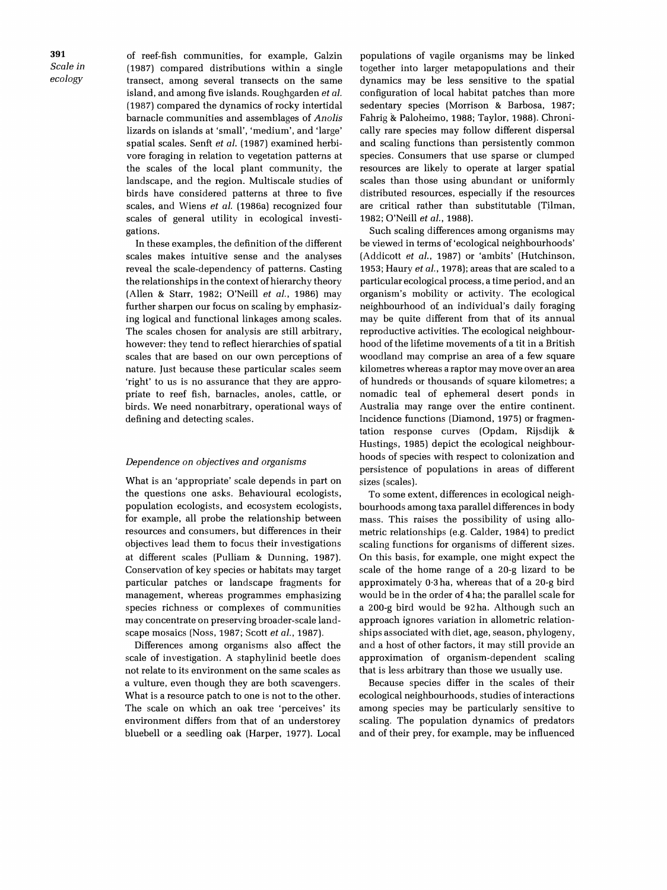**391**  *Scale in ecology* 

of reef-fish communities, for example, Galzin (1987) compared distributions within a single transect, among several transects on the same island, and among five islands. Roughgarden *et al.*  (1987) compared the dynamics of rocky intertidal barnacle communities and assemblages of *Anolis*  lizards on islands at 'small', 'medium', and 'large' spatial scales. Senft *et al.* (1987) examined herbivore foraging in relation to vegetation patterns at the scales of the local plant community, the landscape, and the region. Multiscale studies of birds have considered patterns at three to five scales, and Wiens *et al.* (1986a) recognized four scales of general utility in ecological investigations.

In these examples, the definition of the different scales makes intuitive sense and the analyses reveal the scale-dependency of patterns. Casting the relationships in the context of hierarchy theory (Allen & Starr, 1982; O'Neill *et al.,* 1986) may further sharpen our focus on scaling by emphasizing logical and functional linkages among scales. The scales chosen for analysis are still arbitrary, however: they tend to reflect hierarchies of spatial scales that are based on our own perceptions of nature. Just because these particular scales seem 'right' to us is no assurance that they are appropriate to reef fish, barnacles, anoles, cattle, or birds. We need nonarbitrary, operational ways of defining and detecting scales.

#### *Dependence on objectives and organisms*

What is an 'appropriate' scale depends in part on the questions one asks. Behavioural ecologists, population ecologists, and ecosystem ecologists, for example, all probe the relationship between resources and consumers, but differences in their objectives lead them to focus their investigations at different scales (Pulliam & Dunning, 1987). Conservation of key species or habitats may target particular patches or landscape fragments for management, whereas programmes emphasizing species richness or complexes of communities may concentrate on preserving broader-scale landscape mosaics (Noss, 1987; Scott *et al.,* 1987).

Differences among organisms also affect the scale of investigation. A staphylinid beetle does not relate to its environment on the same scales as a vulture, even though they are both scavengers. What is a resource patch to one is not to the other. The scale on which an oak tree 'perceives' its environment differs from that of an understorey bluebell or a seedling oak (Harper, 1977). Local populations of vagile organisms may be linked together into larger metapopulations and their dynamics may be less sensitive to the spatial configuration of local habitat patches than more sedentary species (Morrison & Barbosa, 1987; Fahrig & Paloheimo, 1988; Taylor, 1988). Chronically rare species may follow different dispersal and scaling functions than persistently common species. Consumers that use sparse or clumped resources are likely to operate at larger spatial scales than those using abundant or uniformly distributed resources, especially if the resources are critical rather than substitutable (Tilman, 1982; O'Neill *eta].,*1988).

Such scaling differences among organisms may be viewed in terms of 'ecological neighbourhoods' (Addicott *et al.,* 1987) or 'ambits' (Hutchinson, 1953; Haury *et al.,* 1978); areas that are scaled to a particular ecological process, a time period, and an organism's mobility or activity. The ecological neighbourhood of an individual's daily foraging may be quite different from that of its annual reproductive activities. The ecological neighbourhood of the lifetime movements of a tit in a British woodland may comprise an area of a few square kilometres whereas a raptor may move over an area of hundreds or thousands of square kilometres; a nomadic teal of ephemeral desert ponds in Australia may range over the entire continent. Incidence functions (Diamond, 1975) or fragmentation response curves (Opdam, Rijsdijk & Hustings, 1985) depict the ecological neighbourhoods of species with respect to colonization and persistence of populations in areas of different sizes (scales).

To some extent, differences in ecological neighbourhoods among taxa parallel differences in body mass. This raises the possibility of using allometric relationships (e.g. Calder, 1984) to predict scaling functions for organisms of different sizes. On this basis, for example, one might expect the scale of the home range of a 20-g lizard to be approximately 0.3 ha, whereas that of a 20-g bird would be in the order of 4 ha; the parallel scale for a 200-g bird would be 92ha. Although such an approach ignores variation in allometric relationships associated with diet, age, season, phylogeny, and a host of other factors, it may still provide an approximation of organism-dependent scaling that is less arbitrary than those we usually use.

Because species differ in the scales of their ecological neighbourhoods, studies of interactions among species may be particularly sensitive to scaling. The population dynamics of predators and of their prey, for example, may be influenced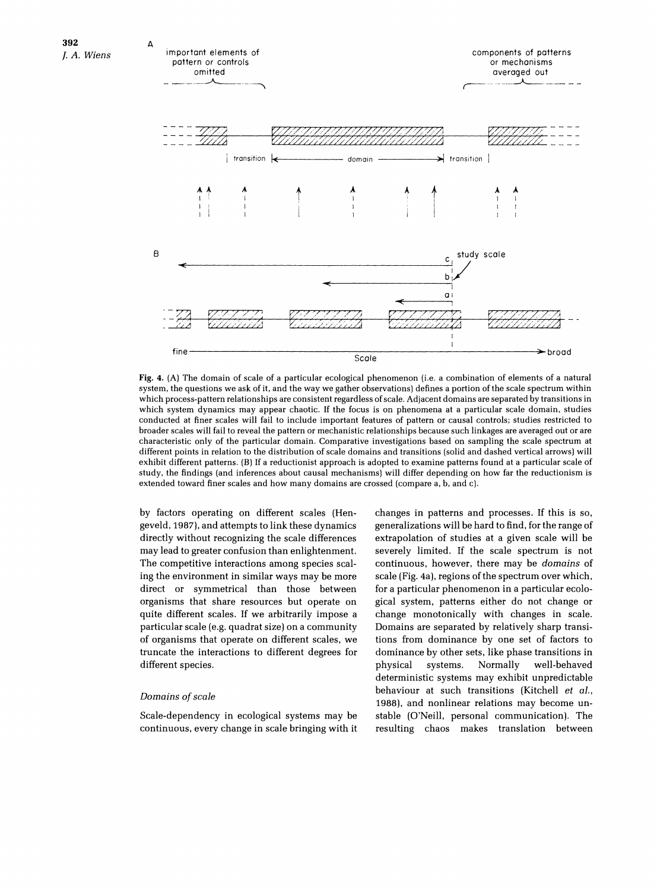

**Fig.** 4. (A) The domain of scale of a particular ecological phenomenon (i.e. a combination of elements of a natural system, the questions we ask of it, and the way we gather observations) defines a portion of the scale spectrum within which process-pattern relationships are consistent regardless of scale. Adjacent domains are separated by transitions in which system dynamics may appear chaotic. If the focus is on phenomena at a particular scale domain, studies conducted at finer scales will fail to include important features of pattern or causal controls; studies restricted to broader scales will fail to reveal the pattern or mechanistic relationships because such linkages are averaged out or are characteristic only of the particular domain. Comparative investigations based on sampling the scale spectrum at different points in relation to the distribution of scale domains and transitions (solid and dashed vertical arrows) will exhibit different patterns. (B) If a reductionist approach is adopted to examine patterns found at a particular scale of study, the findings (and inferences about causal mechanisms) will differ depending on how far the reductionism is extended toward finer scales and how many domains are crossed (compare a, b, and c).

by factors operating on different scales (Hen- changes in patterns and processes. If this is so, geveld, 1987), and attempts to link these dynamics generalizations will be hard to find, for the range of directly without recognizing the scale differences extrapolation of studies at a given scale will be may lead to greater confusion than enlightenment. severely limited. If the scale spectrum is not The competitive interactions among species scal-<br>continuous, however, there may be *domains* of ing the environment in similar ways may be more scale (Fig. 4a), regions of the spectrum over which, direct or symmetrical than those between for a particular phenomenon in a particular ecoloorganisms that share resources but operate on gical system, patterns either do not change or quite different scales. If we arbitrarily impose a change monotonically with changes in scale. particular scale (e.g. quadrat size) on a community Domains are separated by relatively sharp transiof organisms that operate on different scales, we tions from dominance by one set of factors to truncate the interactions to different degrees for dominance by other sets, like phase transitions in different species. physical systems. Normally well-behaved deterministic systems may exhibit unpredictable behaviour at such transitions (Kitchell *et* al., Domains of scale 1988), and nonlinear relations may become un-Scale-dependency in ecological systems may be stable (O'Neill, personal communication). The continuous, every change in scale bringing with it resulting chaos makes translation between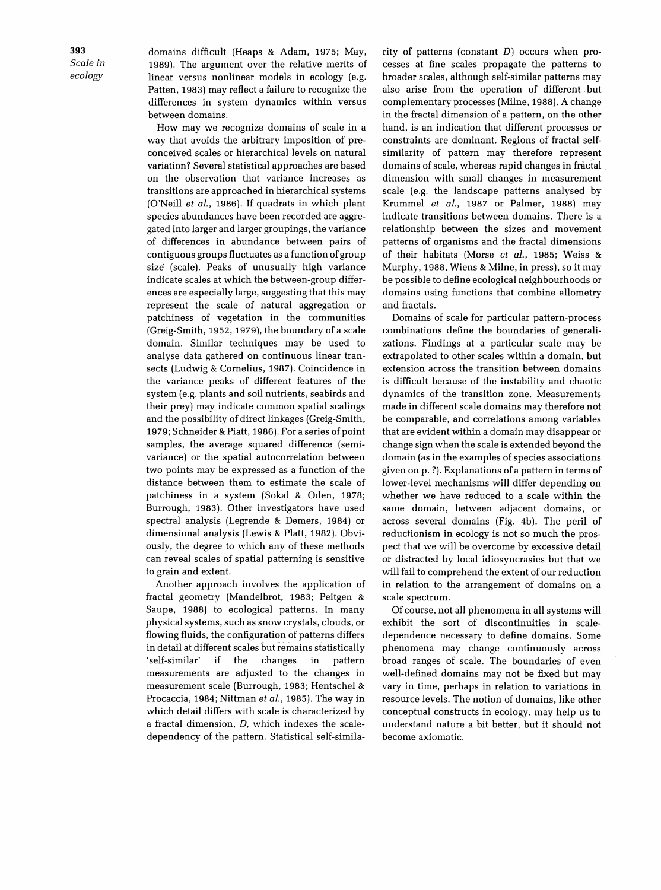**393 domains difficult (Heaps & Adam, 1975; May,** Scale in a 1989) The argument over the relative merits of 1989). The argument over the relative merits of *ecology*  linear versus nonlinear models in ecology (e.g. Patten, 1983) may reflect a failure to recognize the differences in system dynamics within versus between domains.

How may we recognize domains of scale in a way that avoids the arbitrary imposition of preconceived scales or hierarchical levels on natural variation? Several statistical approaches are based on the observation that variance increases as transitions are approached in hierarchical systems (O'Neill *et al.,* 1986). If quadrats in which plant species abundances have been recorded are aggregated into larger and larger groupings, the variance of differences in abundance between pairs of contiguous groups fluctuates as a function of group size (scale). Peaks of unusually high variance indicate scales at which the between-group differences are especially large, suggesting that this may represent the scale of natural aggregation or patchiness of vegetation in the communities (Greig-Smith, 1952, 1979), the boundary of a scale domain. Similar techniques may be used to analyse data gathered on continuous linear transects (Ludwig & Cornelius, 1987). Coincidence in the variance peaks of different features of the system (e.g. plants and soil nutrients, seabirds and their prey) may indicate common spatial scalings and the possibility of direct linkages (Greig-Smith, 1979; Schneider & Piatt, 1986). For a series of point samples, the average squared difference (semivariance) or the spatial autocorrelation between two points may be expressed as a function of the distance between them to estimate the scale of patchiness in a system (Sokal & Oden, 1978; Burrough, 1983). Other investigators have used spectral analysis (Legrende & Demers, 1984) or dimensional analysis (Lewis & Platt, 1982). Obviously, the degree to which any of these methods can reveal scales of spatial patterning is sensitive to grain and extent.

Another approach involves the application of fractal geometry (Mandelbrot, 1983; Peitgen & Saupe, 1988) to ecological patterns. In many physical systems, such as snow crystals, clouds, or flowing fluids, the configuration of patterns differs in detail at different scales but remains statistically 'self-similar' if the changes in pattern measurements are adjusted to the changes in measurement scale (Burrough, 1983; Hentschel & Procaccia, 1984; Nittman *et al.,* 1985). The way in which detail differs with scale is characterized by a fractal dimension, D, which indexes the scaledependency of the pattern. Statistical self-similarity of patterns (constant  $D$ ) occurs when processes at fine scales propagate the patterns to broader scales, although self-similar patterns may also arise from the operation of different but complementary processes (Milne, 1988). A change in the fractal dimension of a pattern, on the other hand, is an indication that different processes or constraints are dominant. Regions of fractal selfsimilarity of pattern may therefore represent domains of scale, whereas rapid changes in fractal dimension with small changes in measurement scale (e.g. the landscape patterns analysed by Krummel *et a].,* 1987 or Palmer, 1988) may indicate transitions between domains. There is a relationship between the sizes and movement patterns of organisms and the fractal dimensions of their habitats (Morse *et al.,* 1985; Weiss & Murphy, 1988, Wiens & Milne, in press), so it may be possible to define ecological neighbourhoods or domains using functions that combine allometry and fractals.

Domains of scale for particular pattern-process combinations define the boundaries of generalizations. Findings at a particular scale may be extrapolated to other scales within a domain, but extension across the transition between domains is difficult because of the instability and chaotic dynamics of the transition zone. Measurements made in different scale domains may therefore not be comparable, and correlations among variables that are evident within a domain may disappear or change sign when the scale is extended beyond the domain (as in the examples of species associations given on p. ?). Explanations of a pattern in terms of lower-level mechanisms will differ depending on whether we have reduced to a scale within the same domain, between adjacent domains, or across several domains (Fig. 4b). The peril of reductionism in ecology is not so much the prospect that we will be overcome by excessive detail or distracted by local idiosyncrasies but that we will fail to comprehend the extent of our reduction in relation to the arrangement of domains on a scale spectrum.

Of course, not all phenomena in all systems will exhibit the sort of discontinuities in scaledependence necessary to define domains. Some phenomena may change continuously across broad ranges of scale. The boundaries of even well-defined domains may not be fixed but may vary in time, perhaps in relation to variations in resource levels. The notion of domains, like other conceptual constructs in ecology, may help us to understand nature a bit better, but it should not become axiomatic.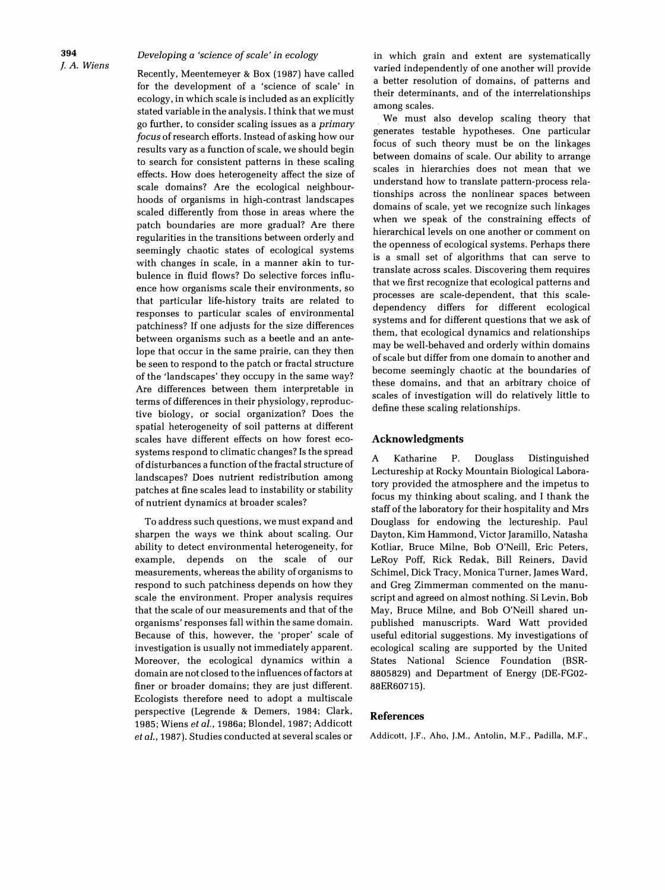**J.** *A. Wiens* 

**394** *Developing a 'science of scale' in ecology* 

Recently, Meentemeyer & Box (1987) have called for the development of a 'science of scale' in ecology, in which scale is included as an explicitly stated variable in the analysis. I think that we must go further, to consider scaling issues as a *primary focus* of research efforts. Instead of asking how our results vary as a function of scale, we should begin to search for consistent patterns in these scaling effects. How does heterogeneity affect the size of scale domains? Are the ecological neighbourhoods of organisms in high-contrast landscapes scaled differently from those in areas where the patch boundaries are more gradual? Are there regularities in the transitions between orderly and seemingly chaotic states of ecological systems with changes in scale, in a manner akin to turbulence in fluid flows? Do selective forces influence how organisms scale their environments, so that particular life-history traits are related to responses to particular scales of environmental patchiness? If one adjusts for the size differences between organisms such as a beetle and an antelope that occur in the same prairie, can they then be seen to respond to the patch or fractal structure of the 'landscapes' they occupy in the same way? Are differences between them interpretable in terms of differences in their physiology, reproductive biology, or social organization? Does the spatial heterogeneity of soil patterns at different scales have different effects on how forest ecosystems respond to climatic changes? Is the spread of disturbances a function of the fractal structure of landscapes? Does nutrient redistribution among patches at fine scales lead to instability or stability of nutrient dynamics at broader scales?

To address such questions, we must expand and sharpen the ways we think about scaling. Our ability to detect environmental heterogeneity, for example, depends on the scale of our measurements, whereas the ability of organisms to respond to such patchiness depends on how they scale the environment. Proper analysis requires that the scale of our measurements and that of the organisms' responses fall within the same domain. Because of this, however, the 'proper' scale of investigation is usually not immediately apparent. Moreover, the ecological dynamics within a domain are not closed to the influences of factors at finer or broader domains; they are just different. Ecologists therefore need to adopt a multiscale perspective (Legrende & Demers, 1984; Clark, 1985; Wiens *et al.,* 1986a; Blondel, 1987; Addicott *et al.,* 1987). Studies conducted at several scales or in which grain and extent are systematically varied independently of one another will provide a better resolution of domains, of patterns and their determinants, and of the interrelationships among scales.

We must also develop scaling theory that generates testable hypotheses. One particular focus of such theory must be on the linkages between domains of scale. Our ability to arrange scales in hierarchies does not mean that we understand how to translate pattern-process relationships across the nonlinear spaces between domains of scale, yet we recognize such linkages when we speak of the constraining effects of hierarchical levels on one another or comment on the openness of ecological systems. Perhaps there is a small set of algorithms that can serve to translate across scales. Discovering them requires that we first recognize that ecological patterns and processes are scale-dependent, that this scaledependency differs for different ecological systems and for different questions that we ask of them, that ecological dynamics and relationships may be well-behaved and orderly within domains of scale but differ from one domain to another and become seemingly chaotic at the boundaries of these domains, and that an arbitrary choice of scales of investigation will do relatively little to define these scaling relationships.

#### **Acknowledgments**

A Katharine P. Douglass Distinguished Lectureship at Rocky Mountain Biological Laboratory provided the atmosphere and the impetus to focus my thinking about scaling, and I thank the staff of the laboratory for their hospitality and Mrs Douglass for endowing the lectureship. Paul Dayton, Kim Hammond, Victor Jaramillo, Natasha Kotliar, Bruce Milne, Bob O'Neill, Eric Peters, LeRoy Poff, Rick Redak, Bill Reiners, David Schimel, Dick Tracy, Monica Turner, James Ward, and Greg Zimmerman commented on the manuscript and agreed on almost nothing. Si Levin, Bob May, Bruce Milne, and Bob O'Neill shared unpublished manuscripts. Ward Watt provided useful editorial suggestions. My investigations of ecological scaling are supported by the United States National Science Foundation (BSR-8805829) and Department of Energy (DE-FG02-88ER60715).

#### **References**

Addicott, J.F., Aho, J.M., Antolin, M.F., Padilla, M.F.,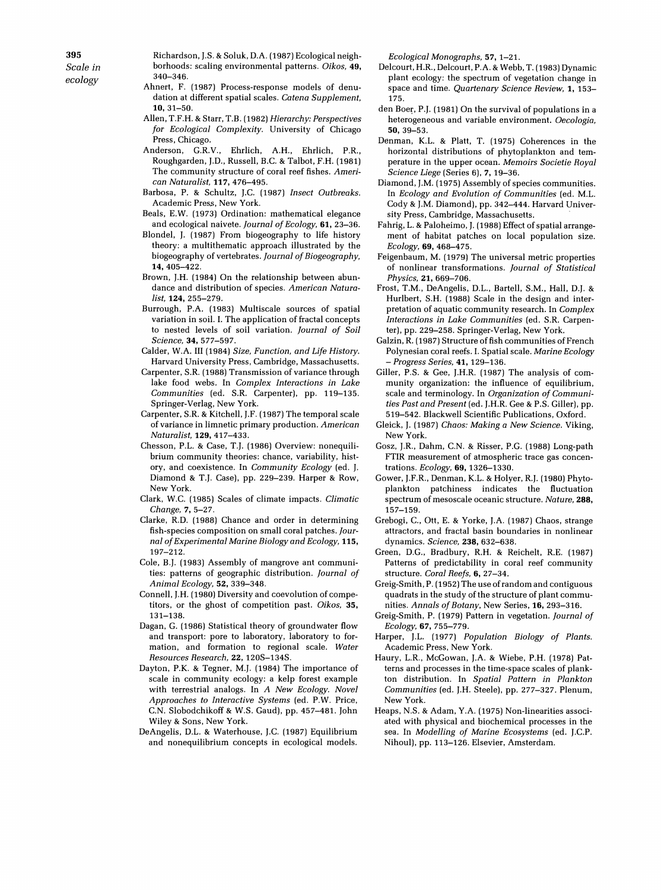*395 Scale in ecology* 

Richardson, J.S. & Soluk, D.A. (1987) Ecological neighborhoods: scaling environmental patterns. Oikos, **49,**  340-346.

- Ahnert, F. (1987) Process-response models of denudation at different spatial scales. Catena Supplement, 10, 31-50.
- Allen, T.F.H. & Starr, T.B. (1982) Hierarchy: Perspectives for Ecological Complexity. University of Chicago Press, Chicago.
- Anderson, G.R.V., Ehrlich, A.H., Ehrlich, P.R., Roughgarden, J.D., Russell, B.C. & Talbot, F.H. (1981) The community structure of coral reef fishes. American Naturalist, **117,**476-495.
- Barbosa, P. & Schultz, J.C. (1987) Insect Outbreaks. Academic Press, New York.
- Beals, E.W. (1973) Ordination: mathematical elegance and ecological naivete. Journal of Ecology, 61, 23-36.
- Blondel, J. (1987) From biogeography to life history theory: a multithematic approach illustrated by the biogeography of vertebrates. Journal of Biogeography, 14,405-422.
- Brown, J.H. (1984) On the relationship between abundance and distribution of species. American Naturalist, **124,**255-279.
- Burrough, P.A. (1983) Multiscale sources of spatial variation in soil. I. The application of fractal concepts to nested levels of soil variation. Journal of Soil Science, **34,**577-597.
- Calder, W.A. III (1984) Size, Function, and Life History. Harvard University Press, Cambridge, Massachusetts.
- Carpenter, S.R. (1988) Transmission of variance through lake food webs. In Complex Interactions in Lake Communities (ed. S.R. Carpenter), pp. 119-135. Springer-Verlag, New York.
- Carpenter, S.R. & Kitchell, J.F. (1987) The temporal scale of variance in limnetic primary production. American Naturalist, **129,**417-433.
- Chesson, P.L. & Case, T.J. (1986) Overview: nonequilibrium community theories: chance, variability, history, and coexistence. In Community Ecology (ed. J. Diamond & T.J. Case), pp. 229-239. Harper & Row, New York.
- Clark, W.C. (1985) Scales of climate impacts. Climatic Change, 7, 5-27.
- Clarke, R.D. (1988) Chance and order in determining fish-species composition on small coral patches. Journo1 of Experimental Marine Biology and Ecology, **115,**  197-212.
- Cole, B.J. (1983) Assembly of mangrove ant communities: patterns of geographic distribution. Journal of Animal Ecology, **52,**339-348.
- Connell, J.H. (1980) Diversity and coevolution of competitors, or the ghost of competition past. Oikos, **35,**  131-138.
- Dagan, G. (1986) Statistical theory of groundwater flow and transport: pore to laboratory, laboratory to formation, and formation to regional scale. Water Resources Research, **22,**120s-134s.
- Dayton, P.K. & Tegner, M.J. (1984) The importance of scale in community ecology: a kelp forest example with terrestrial analogs. In *A* New Ecology. Novel Approaches to Interactive Systems (ed. P.W. Price, C.N. Slobodchikoff & W.S. Gaud), pp. 457-481. John Wiley & Sons, New York.
- DeAngelis, D.L. & Waterhouse, J.C. (1987) Equilibrium and nonequilibrium concepts in ecological models.

Ecological Monographs, **57,**1-2 1.

- Delcourt, H.R., Delcourt, P.A. & Webb, T. (1983) Dynamic plant ecology: the spectrum of vegetation change in space and time. Quartenary Science Review, **1,**153- 175.
- den Boer, P.J. (1981) On the survival of populations in a heterogeneous and variable environment. Oecologia, **50,**39-53.
- Denman, K.L. & Platt, T. (1975) Coherences in the horizontal distributions of phytoplankton and temperature in the upper ocean. Memoirs Societie Royal Science Liege (Series 6), 7, 19-36.
- Diamond, J.M. (1975) Assembly of species communities. In Ecology and Evolution of Communities (ed. M.L. Cody & J.M. Diamond), pp. 342-444. Harvard University Press, Cambridge, Massachusetts.
- Fahrig, L. & Paloheimo, J. (1988) Effect of spatial arrangement of habitat patches on local population size. Ecology, **69,**468-475.
- Feigenbaum, M. (1979) The universal metric properties of nonlinear transformations. Journal of Statistical Physics, **21,**669-706.
- Frost, T.M., DeAngelis, D.L., Bartell, S.M., Hall, D.J. & Hurlbert, S.H. (1988) Scale in the design and interpretation of aquatic community research. In Complex Interactions in Lake Communities (ed. S.R. Carpenter), pp. 229-258. Springer-Verlag, New York.
- Galzin, R. (1987) Structure of fish communities of French Polynesian coral reefs. I. Spatial scale. Marine Ecology -Progress Series, **41,**129-136.
- Giller, P.S. & Gee, J.H.R. (1987) The analysis of community organization: the influence of equilibrium, scale and terminology. In Organization of Communities Past and Present (ed. J.H.R. Gee & P.S. Giller), pp. 519-542. Blackwell Scientific Publications, Oxford.
- Gleick, J. (1987) Chaos: Making a New Science. Viking, New York.
- Gosz, J.R., Dahm, C.N. & Risser, P.G. (1988) Long-path FTIR measurement of atmospheric trace gas concentrations. Ecology, **69,**1326-1330.
- Gower, J.F.R., Denman, K.L. & Holyer, R.J. (1980) Phytoplankton patchiness indicates the fluctuation spectrum of mesoscale oceanic structure. Nature, **288,**  157-159.
- Grebogi, C., Ott, E. & Yorke, J.A. (1987) Chaos, strange attractors, and fractal basin boundaries in nonlinear dynamics. Science, **238,**632-638.
- Green, D.G., Bradbury, R.H. & Reichelt, R.E. (1987) Patterns of predictability in coral reef community structure. Coral Reefs, 6, 27-34.
- Greig-Smith, P. (1952) The use of random and contiguous quadrats in the study of the structure of plant communities. Annals of Botany, New Series, 16, 293-316.
- Greig-Smith, P. (1979) Pattern in vegetation. Journal of Ecology, **67,**755-779.
- Harper, J.L. (1977) Population Biology of Plants. Academic Press, New York.
- Haury, L.R., McGowan, J.A. & Wiebe, P.H. (1978) Patterns and processes in the time-space scales of plankton distribution. In Spatial Pattern in Plankton Communities (ed. J.H. Steele), pp. 277-327. Plenum, New York.
- Heaps, N.S. & Adam, Y.A. (1975) Non-linearities associated with physical and biochemical processes in the sea. In Modelling of Marine Ecosystems (ed. J.C.P. Nihoul), pp. 113-126. Elsevier, Amsterdam.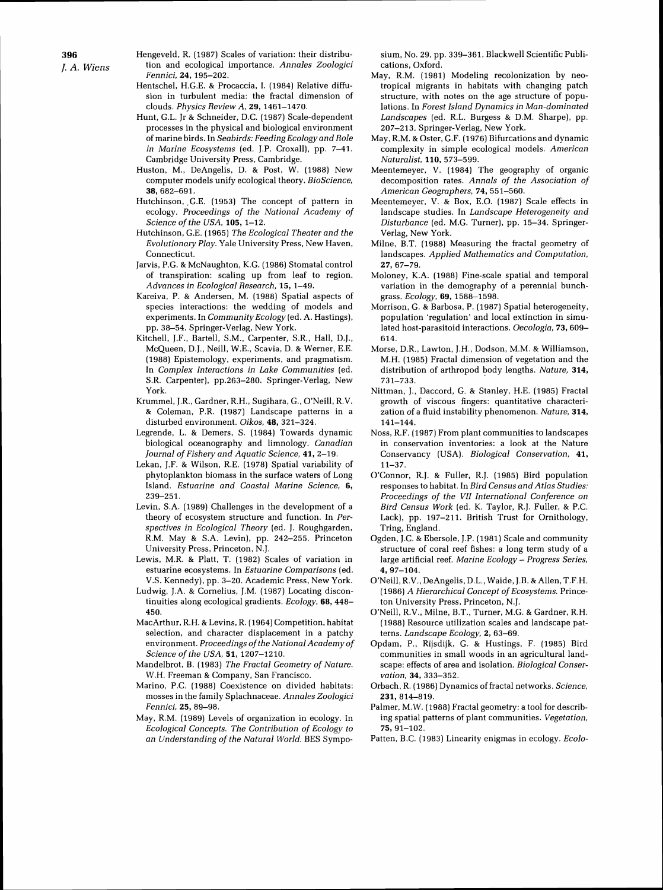- **396** Hengeveld, R. (1987) Scales of variation: their distribu-1. *A. Wiens* tion and ecological importance. Annales Zoologici Fennici, 24, 195-202.
	- Hentschel, H.G.E. & Procaccia, I. (1984) Relative diffusion in turbulent media: the fractal dimension of clouds. Physics Review A, 29, 1461-1470.
	- Hunt, G.L. Jr & Schneider, D.C. (1987) Scale-dependent processes in the physical and biological environment of marine birds. In Seabirds: Feeding Ecology and Role in Marine Ecosystems (ed. J.P. Croxall), pp. 7-41. Cambridge University Press, Cambridge.
	- Huston, M., DeAngelis, D. & Post, W. (1988) New computer models unify ecological theory. BioScience, 38,682-691.
	- Hutchinson, G.E. (1953) The concept of pattern in ecology. Proceedings of the National Academy of Science of the USA, 105, 1-12.
	- Hutchinson, G.E. (1965) The Ecological Theater and the Evolutionary Play. Yale University Press, New Haven, Connecticut.
	- Jarvis, P.G. & McNaughton, K.G. (1986) Stomatal control of transpiration: scaling up from leaf to region. Advances in Ecological Research, 15, 1-49.
	- Kareiva, P. & Andersen, M. (1988) Spatial aspects of species interactions: the wedding of models and experiments. In Community Ecology (ed. A. Hastings), pp. 38-54. Springer-Verlag, New York.
	- Kitchell, J.F., Bartell, S.M., Carpenter, S.R., Hall, D.J., McQueen, D.J., Neill, W.E., Scavia, D. & Werner, E.E. (1988) Epistemology, experiments, and pragmatism, In Complex Interactions in Lake Communities (ed. S.R. Carpenter), pp.263-280. Springer-Verlag, New York.
	- Krummel, J.R., Gardner, R.H., Sugihara, G., O'Neill, R.V. & Coleman, P.R. (1987) Landscape patterns in a disturbed environment. Oikos, 48, 321-324.
	- Legrende, L. & Demers, S. (1984) Towards dynamic biological oceanography and limnology. Canadian Journal of Fishery and Aquatic Science, 41, 2-19.
	- Lekan, J.F. & Wilson, R.E. (1978) Spatial variability of phytoplankton biomass in the surface waters of Long Island. Estuarine and Coastal Marine Science, **6,**  239-251.
	- Levin, S.A. (1989) Challenges in the development of a theory of ecosystem structure and function. In Perspectives in Ecologicol Theory (ed. J. Roughgarden, R.M. May & S.A. Levin), pp. 242-255. Princeton University Press, Princeton, N.J.
	- Lewis, M.R. & Platt, T. (1982) Scales of variation in estuarine ecosystems. In Estuarine Comparisons (ed. V.S. Kennedy), pp. 3-20. Academic Press, New York.
	- Ludwig, J.A. & Cornelius, J.M. (1987) Locating discontinuities along ecological gradients. Ecology, **68,** 448- 450.
	- MacArthur, R.H. & Levins, R. (1964) Competition, habitat selection, and character displacement in a patchy environment. Proceedings of the National Academy of Science of the USA, 51, 1207-1210.
	- Mandelbrot, B. (1983) The Fractal Geometry of Nature. W.H. Freeman & Company, San Francisco.
	- Marino, P.C. (1988) Coexistence on divided habitats: mosses in the family Splachnaceae. Annales Zoologici Fennici, 25, 89-98.
	- May, R.M. (1989) Levels of organization in ecology. In Ecological Concepts. The Contribution of Ecology to an Understanding of the Natural World. BES Sympo-

sium, No. 29, pp. 339-361. Blackwell Scientific Publications, Oxford.

- May, R.M. (1981) Modeling recolonization by neotropical migrants in habitats with changing patch structure, with notes on the age structure of populations. In Forest Island Dynamics in Man-dominated Landscapes (ed. R.L. Burgess & D.M. Sharpe), pp. 207-213. Springer-Verlag, New York.
- May, R.M. & Oster, G.F. (1976) Bifurcations and dynamic complexity in simple ecological models. American Naturalist, 110, 573-599.
- Meentemeyer, V. (1984) The geography of organic decomposition rates. Annals of the Association of American Geographers, 74, 551-560.
- Meentemeyer, V. & Box, E.O. (1987) Scale effects in landscape studies. In Landscape Heterogeneity and Disturbance (ed. M.G. Turner), pp. 15-34. Springer-Verlag, New York.
- Milne, B.T. (1988) Measuring the fractal geometry of landscapes. Applied Mathematics and Computation, 27, 67-79.
- Moloney, K.A. (1988) Fine-scale spatial and temporal variation in the demography of a perennial bunchgrass. Ecology, 69, 1588-1598.
- Morrison, G. & Barbosa, P. (1987) Spatial heterogeneity, population 'regulation' and local extinction in simulated host-parasitoid interactions. Oecologia, 73, 609- 614.
- Morse, D.R., Lawton, J.H., Dodson, M.M. & Williamson, M.H. (1985) Fractal dimension of vegetation and the distribution of arthropod body lengths. Nature, 314, 731-733.
- Nittman, J., Daccord, G. & Stanley, H.E. (1985) Fractal growth of viscous fingers: quantitative characterization of a fluid instability phenomenon. Nature, 314, 141-144.
- Noss, R.F. (1987) From plant communities to landscapes in conservation inventories: a look at the Nature Conservancy (USA). Biological Conservation, 41, 11-37.
- O'Connor, R.J. & Fuller, R.J. (1985) Bird population responses to habitat. In Bird Census and Atlas Studies: Proceedings of the VII International Conference on Bird Census Work (ed. K. Taylor, R.J. Fuller, & P.C. Lack), pp. 197-211. British Trust for Ornithology, Tring, England.
- Ogden, J.C. & Ebersole, J.P. (1981) Scale and community structure of coral reef fishes: a long term study of a large artificial reef. Marine Ecology - Progress Series, 4,97-104.
- O'Neill, R.V., DeAngelis, D.L., Waide, J.B. & Allen, T.F.H. (1986) A Hierarchical Concept of Ecosystems. Princeton University Press, Princeton, N.J.
- O'Neill, R.V., Milne, B.T., Turner, M.G. & Gardner, R.H. (1988) Resource utilization scales and landscape patterns. Landscape Ecology, 2, 63-69.
- Opdam, P., Rijsdijk, G. & Hustings, F. (1985) Bird communities in small woods in an agricultural landscape: effects of area and isolation. Biological Conservation, 34, 333-352.
- Orbach, R. (1986) Dynamics of fractal networks. Science, 231, 814-819.
- Palmer, M.W. (1988) Fractal geometry: a tool for describing spatial patterns of plant communities. Vegetation, 75,91-102.
- Patten, B.C. (1983) Linearity enigmas in ecology. Ecolo-